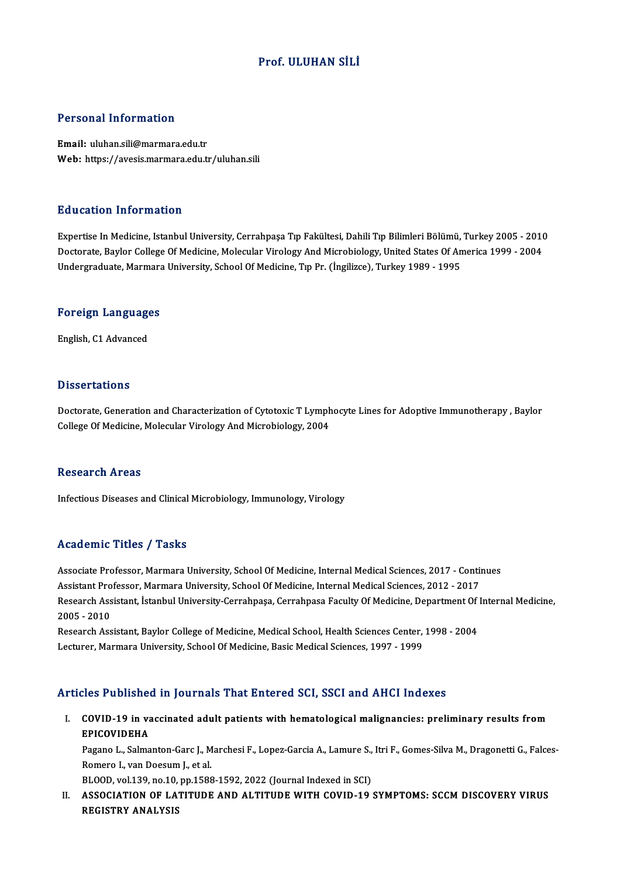#### Prof. ULUHAN SİLİ

#### Personal Information

Email: uluhan.sili@marmara.edu.tr Web: https://avesis.marmara.edu.tr/uluhan.sili

#### Education Information

E<mark>ducation Information</mark><br>Expertise In Medicine, Istanbul University, Cerrahpaşa Tıp Fakültesi, Dahili Tıp Bilimleri Bölümü, Turkey 2005 - 2010<br>Destarata Baylar Callage Of Medicine, Melegylar Virolegy And Microbiolegy, Unite Buusutser Tittsi internet.<br>Expertise In Medicine, Istanbul University, Cerrahpaşa Tıp Fakültesi, Dahili Tıp Bilimleri Bölümü, Turkey 2005<br>Undergraduate Marmara University, Seboal Of Medicine, Tıp Pr. (İngilizce), Turkey 19 Doctorate, Baylor College Of Medicine, Molecular Virology And Microbiology, United States Of America 1999 - 2004<br>Undergraduate, Marmara University, School Of Medicine, Tıp Pr. (İngilizce), Turkey 1989 - 1995

# <sub>ondergraduate, marmara</sub><br>Foreign Languages <mark>Foreign Languag</mark>e<br>English, C1 Advanced

English, C1 Advanced<br>Dissertations

Doctorate, Generation and Characterization of Cytotoxic T Lymphocyte Lines for Adoptive Immunotherapy , Baylor College Of Medicine, Molecular Virology And Microbiology, 2004

#### Research Areas

Infectious Diseases and Clinical Microbiology, Immunology, Virology

#### Academic Titles / Tasks

Associate Professor, Marmara University, School Of Medicine, Internal Medical Sciences, 2017 - Continues Associate Professor, Marmara University, School Of Medicine, Internal Medical Sciences, 2017 - Contin<br>Assistant Professor, Marmara University, School Of Medicine, Internal Medical Sciences, 2012 - 2017<br>Pessarsh Assistant, Associate Professor, Marmara University, School Of Medicine, Internal Medical Sciences, 2017 - Continues<br>Assistant Professor, Marmara University, School Of Medicine, Internal Medical Sciences, 2012 - 2017<br>Research Assistan Assistant Pro<br>Research Ass<br>2005 - 2010<br>Besearch Ass Research Assistant, İstanbul University-Cerrahpaşa, Cerrahpasa Faculty Of Medicine, Department Of<br>2005 - 2010<br>Research Assistant, Baylor College of Medicine, Medical School, Health Sciences Center, 1998 - 2004<br>Lecturer, Ma

2005 - 2010<br>Research Assistant, Baylor College of Medicine, Medical School, Health Sciences Center, 1998 - 2004<br>Lecturer, Marmara University, School Of Medicine, Basic Medical Sciences, 1997 - 1999

#### Articles Published in Journals That Entered SCI, SSCI and AHCI Indexes

rticles Published in Journals That Entered SCI, SSCI and AHCI Indexes<br>I. COVID-19 in vaccinated adult patients with hematological malignancies: preliminary results from<br>ERICOVIDEHA EPICOVIDEHA<br>EPICOVIDEHA<br>EPICOVIDEHA COVID-19 in vaccinated adult patients with hematological malignancies: preliminary results from<br>EPICOVIDEHA<br>Pagano L., Salmanton-Garc J., Marchesi F., Lopez-Garcia A., Lamure S., Itri F., Gomes-Silva M., Dragonetti G., Fal

EPICOVIDEHA<br>Pagano L., Salmanton-Garc J., M<br>Romero I., van Doesum J., et al.<br>PLOOD, vol 130, po 10, pp 1599 Pagano L., Salmanton-Garc J., Marchesi F., Lopez-Garcia A., Lamure S.,<br>Romero I., van Doesum J., et al.<br>BLOOD, vol.139, no.10, pp.1588-1592, 2022 (Journal Indexed in SCI)<br>ASSOCIATION OF LATITUDE AND ALTITUDE WITH COVID 19

BLOOD, vol.139, no.10, pp.1588-1592, 2022 (Journal Indexed in SCI)

Romero I., van Doesum J., et al.<br>BLOOD, vol.139, no.10, pp.1588-1592, 2022 (Journal Indexed in SCI)<br>II. ASSOCIATION OF LATITUDE AND ALTITUDE WITH COVID-19 SYMPTOMS: SCCM DISCOVERY VIRUS<br>REGISTRY ANALYSIS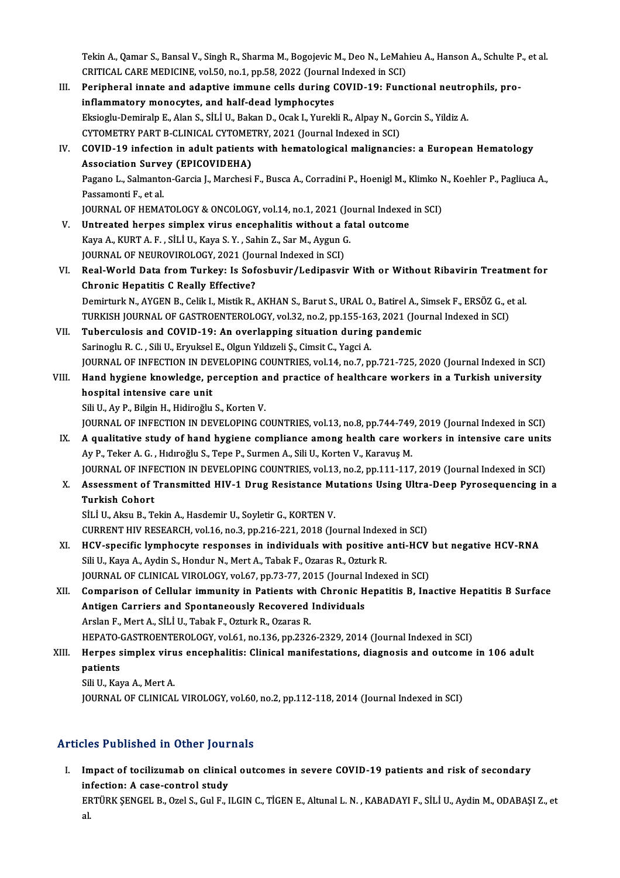Tekin A., Qamar S., Bansal V., Singh R., Sharma M., Bogojevic M., Deo N., LeMahieu A., Hanson A., Schulte P., et al.<br>CRITICAL GARE MEDICINE, vol 50, no.1, nn 59, 2022 (Journal Indoved in SC). Tekin A., Qamar S., Bansal V., Singh R., Sharma M., Bogojevic M., Deo N., LeMah<br>CRITICAL CARE MEDICINE, vol.50, no.1, pp.58, 2022 (Journal Indexed in SCI)<br>Peripheral innate and adaptive immune celle during COVID 10: Eune Tekin A., Qamar S., Bansal V., Singh R., Sharma M., Bogojevic M., Deo N., LeMahieu A., Hanson A., Schulte F<br>CRITICAL CARE MEDICINE, vol.50, no.1, pp.58, 2022 (Journal Indexed in SCI)<br>III. Peripheral innate and adaptive imm

- CRITICAL CARE MEDICINE, vol.50, no.1, pp.58, 2022 (Journal Indexed in SCI)<br>Peripheral innate and adaptive immune cells during COVID-19: Functional neutrophils, pro-<br>inflammatory monocytes, and half-dead lymphocytes Peripheral innate and adaptive immune cells during COVID-19: Functional neutro<br>inflammatory monocytes, and half-dead lymphocytes<br>Eksioglu-Demiralp E., Alan S., SİLİ U., Bakan D., Ocak I., Yurekli R., Alpay N., Gorcin S., Y inflammatory monocytes, and half-dead lymphocytes<br>Eksioglu-Demiralp E., Alan S., SİLİ U., Bakan D., Ocak I., Yurekli R., Alpay N., Go<br>CYTOMETRY PART B-CLINICAL CYTOMETRY, 2021 (Journal Indexed in SCI)<br>COVID 19 infection in Eksioglu-Demiralp E., Alan S., SİLİ U., Bakan D., Ocak I., Yurekli R., Alpay N., Gorcin S., Yildiz A.<br>CYTOMETRY PART B-CLINICAL CYTOMETRY, 2021 (Journal Indexed in SCI)<br>IV. COVID-19 infection in adult patients with hematol
- CYTOMETRY PART B-CLINICAL CYTOME<br>COVID-19 infection in adult patients<br>Association Survey (EPICOVIDEHA)<br>Pagano L. Salmantan Cargia L. Marghaei COVID-19 infection in adult patients with hematological malignancies: a European Hematology<br>Association Survey (EPICOVIDEHA)<br>Pagano L., Salmanton-Garcia J., Marchesi F., Busca A., Corradini P., Hoenigl M., Klimko N., Koehl Association Surve<br>Pagano L., Salmanto<br>Passamonti F., et al.<br>JOUPNAL OF UEMA Pagano L., Salmanton-Garcia J., Marchesi F., Busca A., Corradini P., Hoenigl M., Klimko N<br>Passamonti F., et al.<br>JOURNAL OF HEMATOLOGY & ONCOLOGY, vol.14, no.1, 2021 (Journal Indexed in SCI)<br>Untreated bernes simpley virus a Passamonti F., et al.<br>JOURNAL OF HEMATOLOGY & ONCOLOGY, vol.14, no.1, 2021 (Journal Indexed in SCI)<br>V. Untreated herpes simplex virus encephalitis without a fatal outcome
- KayaA.,KURTA.F. ,SİLİU.,Kaya S.Y. ,SahinZ.,SarM.,AygunG. Untreated herpes simplex virus encephalitis without a f<br>Kaya A., KURT A. F. , SİLİ U., Kaya S. Y. , Sahin Z., Sar M., Aygun G<br>JOURNAL OF NEUROVIROLOGY, 2021 (Journal Indexed in SCI)<br>Peal Warld Data from Turkov, Js Safashuv
- Kaya A., KURT A. F. , SİLİ U., Kaya S. Y. , Sahin Z., Sar M., Aygun G.<br>JOURNAL OF NEUROVIROLOGY, 2021 (Journal Indexed in SCI)<br>VI. Real-World Data from Turkey: Is Sofosbuvir/Ledipasvir With or Without Ribavirin Treatme JOURNAL OF NEUROVIROLOGY, 2021 (Jou<br>Real-World Data from Turkey: Is Sof<br>Chronic Hepatitis C Really Effective?<br>Dominturk N. AVGEN B. Colik L Migtik P. Real-World Data from Turkey: Is Sofosbuvir/Ledipasvir With or Without Ribavirin Treatment<br>Chronic Hepatitis C Really Effective?<br>Demirturk N., AYGEN B., Celik I., Mistik R., AKHAN S., Barut S., URAL O., Batirel A., Simsek F Chronic Hepatitis C Really Effective?<br>Demirturk N., AYGEN B., Celik I., Mistik R., AKHAN S., Barut S., URAL O., Batirel A., Simsek F., ERSÖZ G., et al.<br>TURKISH JOURNAL OF GASTROENTEROLOGY, vol.32, no.2, pp.155-163, 2021 (J

## Demirturk N., AYGEN B., Celik I., Mistik R., AKHAN S., Barut S., URAL O., Batirel A., S<br>TURKISH JOURNAL OF GASTROENTEROLOGY, vol.32, no.2, pp.155-163, 2021 (Journal VII. Tuberculosis and COVID-19: An overlapping situation TURKISH JOURNAL OF GASTROENTEROLOGY, vol.32, no.2, pp.155-16<br>Tuberculosis and COVID-19: An overlapping situation during<br>Sarinoglu R. C. , Sili U., Eryuksel E., Olgun Yıldızeli Ş., Cimsit C., Yagci A.<br>JOUPMAL OF INFECTION I Tuberculosis and COVID-19: An overlapping situation during pandemic<br>Sarinoglu R. C. , Sili U., Eryuksel E., Olgun Yıldızeli Ş., Cimsit C., Yagci A.<br>JOURNAL OF INFECTION IN DEVELOPING COUNTRIES, vol.14, no.7, pp.721-725, 20

Sarinoglu R. C. , Sili U., Eryuksel E., Olgun Yıldızeli Ş., Cimsit C., Yagci A.<br>JOURNAL OF INFECTION IN DEVELOPING COUNTRIES, vol.14, no.7, pp.721-725, 2020 (Journal Indexed in SCI)<br>VIII. Hand hygiene knowledge, perception JOURNAL OF INFECTION IN DET<br>Hand hygiene knowledge, po<br>hospital intensive care unit hospital intensive care unit<br>Sili U., Ay P., Bilgin H., Hidiroğlu S., Korten V.<br>JOURNAL OF INFECTION IN DEVELOPING COUNTRIES, vol.13, no.8, pp.744-749, 2019 (Journal Indexed in SCI)<br>A qualitative study of band bygione somp

Sili U., Ay P., Bilgin H., Hidiroğlu S., Korten V.

- Sili U., Ay P., Bilgin H., Hidiroğlu S., Korten V.<br>JOURNAL OF INFECTION IN DEVELOPING COUNTRIES, vol.13, no.8, pp.744-749, 2019 (Journal Indexed in SCI)<br>IX. A qualitative study of hand hygiene compliance among health care JOURNAL OF INFECTION IN DEVELOPING COUNTRIES, vol.13, no.8, pp.744-749<br>A qualitative study of hand hygiene compliance among health care work are the M. G. , Hidiroğlu S., Tepe P., Surmen A., Sili U., Korten V., Karavuş M.<br> IX. A qualitative study of hand hygiene compliance among health care workers in intensive care units<br>Ay P., Teker A. G. , Hidiroğlu S., Tepe P., Surmen A., Sili U., Korten V., Karavuş M.<br>JOURNAL OF INFECTION IN DEVELOPING
- Ay P., Teker A. G. , Hıdıroğlu S., Tepe P., Surmen A., Sili U., Korten V., Karavuş M.<br>JOURNAL OF INFECTION IN DEVELOPING COUNTRIES, vol.13, no.2, pp.111-117, 2019 (Journal Indexed in SCI)<br>X. Assessment of Transmitted HIV-1 **JOURNAL OF INFI**<br>Assessment of 1<br>Turkish Cohort<br>Siti II Alm P. T. Assessment of Transmitted HIV-1 Drug Resistance Mu<br>Turkish Cohort<br>SİLİ U., Aksu B., Tekin A., Hasdemir U., Soyletir G., KORTEN V.<br>CURRENT HIV RESEARCH vol 16 no 2 nn 216 221 2018 (Jo Turkish Cohort<br>SİLİ U., Aksu B., Tekin A., Hasdemir U., Soyletir G., KORTEN V.<br>CURRENT HIV RESEARCH, vol.16, no.3, pp.216-221, 2018 (Journal Indexed in SCI)<br>HCV spesifis lymphosyte perpenses in individuals with positive an

- SILI U., Aksu B., Tekin A., Hasdemir U., Soyletir G., KORTEN V.<br>CURRENT HIV RESEARCH, vol.16, no.3, pp.216-221, 2018 (Journal Indexed in SCI)<br>XI. HCV-specific lymphocyte responses in individuals with positive anti-HCV but CURRENT HIV RESEARCH, vol.16, no.3, pp.216-221, 2018 (Journal Index<br>HCV-specific lymphocyte responses in individuals with positive<br>Sili U., Kaya A., Aydin S., Hondur N., Mert A., Tabak F., Ozaras R., Ozturk R.<br>JOURNAL OF C HCV-specific lymphocyte responses in individuals with positive anti-HCV<br>Sili U., Kaya A., Aydin S., Hondur N., Mert A., Tabak F., Ozaras R., Ozturk R.<br>JOURNAL OF CLINICAL VIROLOGY, vol.67, pp.73-77, 2015 (Journal Indexed i JOURNAL OF CLINICAL VIROLOGY, vol.67, pp.73-77, 2015 (Journal Indexed in SCI)
- Sili U., Kaya A., Aydin S., Hondur N., Mert A., Tabak F., Ozaras R., Ozturk R.<br>JOURNAL OF CLINICAL VIROLOGY, vol.67, pp.73-77, 2015 (Journal Indexed in SCI)<br>XII. Comparison of Cellular immunity in Patients with Chronic Hep Arslan F., Mert A., SİLİ U., Tabak F., Ozturk R., Ozaras R. Antigen Carriers and Spontaneously Recovered Individuals<br>Arslan F., Mert A., SİLİ U., Tabak F., Ozturk R., Ozaras R.<br>HEPATO-GASTROENTEROLOGY, vol.61, no.136, pp.2326-2329, 2014 (Journal Indexed in SCI)<br>Hernes simplex virus Arslan F., Mert A., SİLİ U., Tabak F., Ozturk R., Ozaras R.<br>HEPATO-GASTROENTEROLOGY, vol.61, no.136, pp.2326-2329, 2014 (Journal Indexed in SCI)<br>XIII. Herpes simplex virus encephalitis: Clinical manifestations, diagnos
- HEPATO-<br>Herpes s<br>patients<br>Sili II Kov Herpes simplex viru<br>patients<br>Sili U., Kaya A., Mert A.<br>JOUPNAL OF CLINICAL patients<br>Sili U., Kaya A., Mert A.<br>JOURNAL OF CLINICAL VIROLOGY, vol.60, no.2, pp.112-118, 2014 (Journal Indexed in SCI)

## Articles Published in Other Journals

rticles Published in Other Journals<br>I. Impact of tocilizumab on clinical outcomes in severe COVID-19 patients and risk of secondary<br>infection: A sees sentrel study Impact of tocilizumab on clinication: A case-control study<br>infection: A case-control study infection: A case-control study<br>ERTÜRK ŞENGEL B., Ozel S., Gul F., ILGIN C., TİGEN E., Altunal L. N. , KABADAYI F., SİLİ U., Aydin M., ODABAŞI Z., et<br>al. in<br>EF<br>al.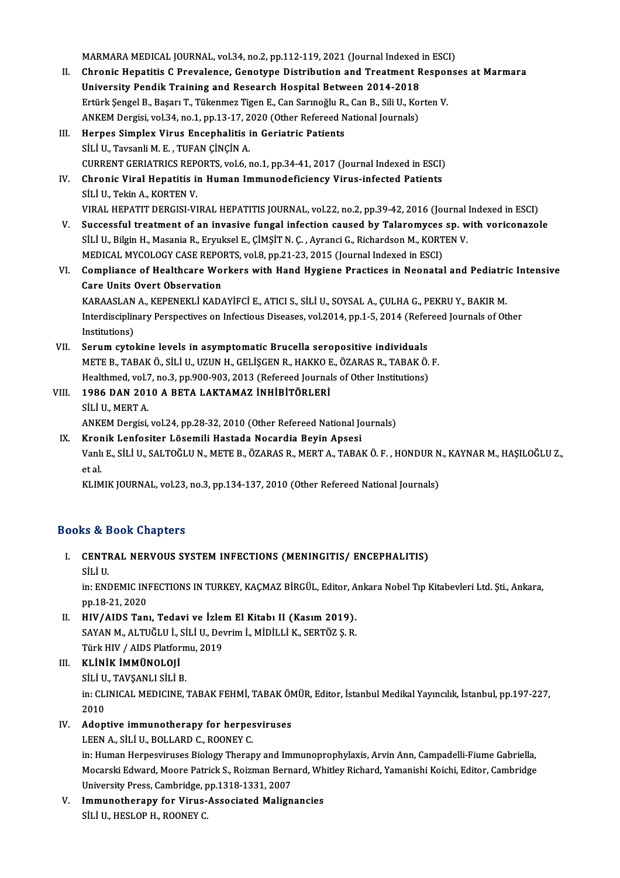MARMARA MEDICAL JOURNAL, vol.34, no.2, pp.112-119, 2021 (Journal Indexed in ESCI)<br>Chronic Henstitic C Prevelence, Constune Distribution and Treatment Peersons

- II. Chronic Hepatitis C Prevalence, Genotype Distribution and Treatment Responses at Marmara<br>University Pendik Training and Research Hospital Between 2014-2018 MARMARA MEDICAL JOURNAL, vol.34, no.2, pp.112-119, 2021 (Journal Indexed<br>Chronic Hepatitis C Prevalence, Genotype Distribution and Treatment R<br>University Pendik Training and Research Hospital Between 2014-2018<br>Ertürk Senge Chronic Hepatitis C Prevalence, Genotype Distribution and Treatment Resport<br>University Pendik Training and Research Hospital Between 2014-2018<br>Ertürk Şengel B., Başarı T., Tükenmez Tigen E., Can Sarınoğlu R., Can B., Sili University Pendik Training and Research Hospital Between 2014-2018<br>Ertürk Şengel B., Başarı T., Tükenmez Tigen E., Can Sarınoğlu R., Can B., Sili U., Ko:<br>ANKEM Dergisi, vol.34, no.1, pp.13-17, 2020 (Other Refereed National ANKEM Dergisi, vol.34, no.1, pp.13-17, 2020 (Other Refereed National Journals)<br>III. Herpes Simplex Virus Encephalitis in Geriatric Patients
- SİLİ U., Tavsanli M. E., TUFAN ÇİNÇİN A. Herpes Simplex Virus Encephalitis in Geriatric Patients<br>SİLİ U., Tavsanli M. E. , TUFAN ÇİNÇİN A.<br>CURRENT GERIATRICS REPORTS, vol.6, no.1, pp.34-41, 2017 (Journal Indexed in ESCI)<br>Chronis Viral Henatitis in Human Immunadef
- IV. Chronic Viral Hepatitis in Human Immunodeficiency Virus-infected Patients **CURRENT GERIATRICS REP<br>Chronic Viral Hepatitis in<br>SİLİ U., Tekin A., KORTEN V.<br>VIRAL HERATIT DERCISI VI** VIRAL HEPATIT DERGISI-VIRAL HEPATITIS JOURNAL, vol.22, no.2, pp.39-42, 2016 (Journal Indexed in ESCI)
- V. Successful treatment of an invasive fungal infection caused by Talaromyces sp.with voriconazole SİLİ U., Bilgin H., Masania R., Eryuksel E., ÇİMŞİT N. Ç. , Ayranci G., Richardson M., KORTEN V. Successful treatment of an invasive fungal infection caused by Talaromyces<br>SİLİ U., Bilgin H., Masania R., Eryuksel E., ÇİMŞİT N. Ç. , Ayranci G., Richardson M., KORT<br>MEDICAL MYCOLOGY CASE REPORTS, vol.8, pp.21-23, 2015 (J SILI U., Bilgin H., Masania R., Eryuksel E., ÇİMŞİT N. Ç. , Ayranci G., Richardson M., KORTEN V.<br>MEDICAL MYCOLOGY CASE REPORTS, vol.8, pp.21-23, 2015 (Journal Indexed in ESCI)<br>VI. Compliance of Healthcare Workers with Hand
- MEDICAL MYCOLOGY CASE REPO<br>Compliance of Healthcare Wo:<br>Care Units Overt Observation<br>KARAASLAN A. KERENEKLI KARA Compliance of Healthcare Workers with Hand Hygiene Practices in Neonatal and Pediatri<br>Care Units Overt Observation<br>KARAASLAN A., KEPENEKLİ KADAYİFCİ E., ATICI S., SİLİ U., SOYSAL A., ÇULHA G., PEKRU Y., BAKIR M.<br>Intendiasi Care Units Overt Observation<br>KARAASLAN A., KEPENEKLİ KADAYİFCİ E., ATICI S., SİLİ U., SOYSAL A., ÇULHA G., PEKRU Y., BAKIR M.<br>Interdisciplinary Perspectives on Infectious Diseases, vol.2014, pp.1-5, 2014 (Refereed Journals

KARAASLAN<br>Interdisciplin<br>Institutions)<br>Sonum autol Interdisciplinary Perspectives on Infectious Diseases, vol.2014, pp.1-5, 2014 (Refer<br>Institutions)<br>VII. Serum cytokine levels in asymptomatic Brucella seropositive individuals<br>METE B. TABAKÖ SULLUZUN H. CELISCEN B. HAKKO E

- Institutions)<br>Serum cytokine levels in asymptomatic Brucella seropositive individuals<br>METE B., TABAK Ö., SİLİ U., UZUN H., GELİŞGEN R., HAKKO E., ÖZARAS R., TABAK Ö. F.<br>Healthmed vol 7, no 3, np 900,902, 2013 (Pefereed Jeu Serum cytokine levels in asymptomatic Brucella seropositive individuals<br>METE B., TABAK Ö., SİLİ U., UZUN H., GELİŞGEN R., HAKKO E., ÖZARAS R., TABAK Ö.<br>Healthmed, vol.7, no.3, pp.900-903, 2013 (Refereed Journals of Other I METE B., TABAK Ö., SİLİ U., UZUN H., GELİŞGEN R., HAKKO E<br>Healthmed, vol.7, no.3, pp.900-903, 2013 (Refereed Journal<br>VIII. 1986 DAN 2010 A BETA LAKTAMAZ İNHİBİTÖRLERİ<br>siti U. MERT A
- Healthmed, vol.7<br>1986 DAN 201<br>SİLİ U., MERT A.<br>ANKEM Dergisi SİLİ U., MERT A.<br>ANKEM Dergisi, vol.24, pp.28-32, 2010 (Other Refereed National Journals) SİLİ U., MERT A.<br>ANKEM Dergisi, vol.24, pp.28-32, 2010 (Other Refereed National Jo<br>IX. Kronik Lenfositer Lösemili Hastada Nocardia Beyin Apsesi<br>Vank E. SİLİ II. SALTOĞLUN, METER, ÖZARAS B. MERT A. TARAL
- Vanlı E., SİLİ U., SALTOĞLU N., METE B., ÖZARAS R., MERT A., TABAK Ö. F. , HONDUR N., KAYNAR M., HAŞILOĞLU Z.,<br>et al Kror<br>Vanlı<br>et al.<br>EUM

KLIMIK JOURNAL, vol.23, no.3, pp.134-137, 2010 (Other Refereed National Journals)

## Books&Book Chapters

OOks & Book Chapters<br>I. CENTRAL NERVOUS SYSTEM INFECTIONS (MENINGITIS/ ENCEPHALITIS)<br>SULU SE & Z<br>CENTI<br>SİLİ U.<br>in: ENI CENTRAL NERVOUS SYSTEM INFECTIONS (MENINGITIS/ ENCEPHALITIS)<br>SİLİ U.<br>in: ENDEMIC INFECTIONS IN TURKEY, KAÇMAZ BİRGÜL, Editor, Ankara Nobel Tıp Kitabevleri Ltd. Şti., Ankara,<br>nn 18 21 2020

SİLİ U.<br>in: ENDEMIC IN.<br>pp.18-21, 2020<br>HIV (AIDS Tan in: ENDEMIC INFECTIONS IN TURKEY, KAÇMAZ BİRGÜL, Editor, A<br>pp.18-21, 2020<br>II. HIV/AIDS Tanı, Tedavi ve İzlem El Kitabı II (Kasım 2019).<br>SAYAN M. ALTUĞLU İ. SİLLU Devrim İ. MİDİLLİ K. SERTÖZ S. B.

pp.18-21, 2020<br>HIV/AIDS Tanı, Tedavi ve İzlem El Kitabı II (Kasım 2019).<br>SAYAN M., ALTUĞLU İ., SİLİ U., Devrim İ., MİDİLLİ K., SERTÖZ Ş. R.<br>Türk HIV / AIDS Platformu. 2019. HIV/AIDS Tanı, Tedavi ve İzlei<br>SAYAN M., ALTUĞLU İ., SİLİ U., Dev<br>Türk HIV / AIDS Platformu, 2019<br>EL İNİE İMMÜNOLOJİ Türk HIV / AIDS Platformu, 2019

#### III. KLİNİK İMMÜNOLOJİ

SİLİ U., TAVŞANLI SİLİ B

in: CLINICAL MEDICINE, TABAK FEHMİ, TABAK ÖMÜR, Editor, İstanbul Medikal Yayıncılık, İstanbul, pp.197-227,<br>2010 in: CLINICAL MEDICINE, TABAK FEHMİ, TABAK ÖN<br>2010<br>IV. Adoptive immunotherapy for herpesviruses 2010<br><mark>Adoptive immunotherapy for herpes</mark><br>LEEN A., SİLİ U., BOLLARD C., ROONEY C.<br>in: Human Harnesviruses Biology Theren

Adoptive immunotherapy for herpesviruses<br>LEEN A., SİLİ U., BOLLARD C., ROONEY C.<br>in: Human Herpesviruses Biology Therapy and Immunoprophylaxis, Arvin Ann, Campadelli-Fiume Gabriella,<br>Mesareki Edward Meare Ratrick S. Reigma LEEN A., SİLİ U., BOLLARD C., ROONEY C.<br>in: Human Herpesviruses Biology Therapy and Immunoprophylaxis, Arvin Ann, Campadelli-Fiume Gabriella,<br>Mocarski Edward, Moore Patrick S., Roizman Bernard, Whitley Richard, Yamanishi K in: Human Herpesviruses Biology Therapy and Im<br>Mocarski Edward, Moore Patrick S., Roizman Bern<br>University Press, Cambridge, pp.1318-1331, 2007<br>Immunetherapy for Vinue Associated Malian Mocarski Edward, Moore Patrick S., Roizman Bernard, Whitley Richard, Yamanishi Koichi, Editor, Cambridge<br>University Press, Cambridge, pp.1318-1331, 2007<br>V. Immunotherapy for Virus-Associated Malignancies<br>SİLİ U., HESLOP H. University Press, Cambridge, pp.1318-1331, 2007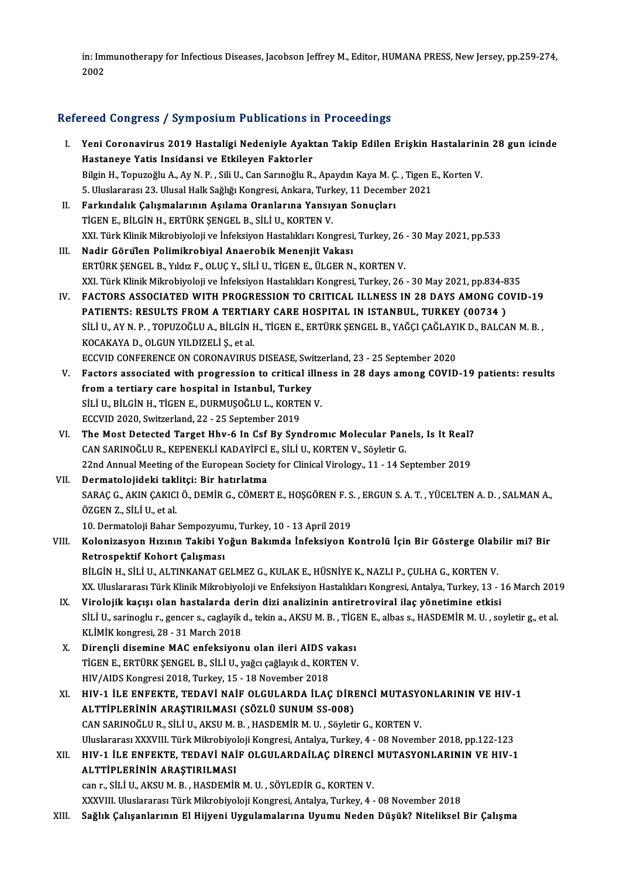in: Immunotherapy for Infectious Diseases, Jacobson Jeffrey M., Editor, HUMANA PRESS, New Jersey, pp.259-274,<br>2002 in: Imi<br>2002

# <sub>2002</sub><br>Refereed Congress / Symposium Publications in Proceedings

| Refereed Congress / Symposium Publications in Proceedings |                                                                                                                                                                                      |  |
|-----------------------------------------------------------|--------------------------------------------------------------------------------------------------------------------------------------------------------------------------------------|--|
| L.                                                        | Yeni Coronavirus 2019 Hastaligi Nedeniyle Ayaktan Takip Edilen Erişkin Hastalarinin 28 gun icinde<br>Hastaneye Yatis Insidansi ve Etkileyen Faktorler                                |  |
|                                                           | Bilgin H., Topuzoğlu A., Ay N. P., Sili U., Can Sarınoğlu R., Apaydın Kaya M. C., Tigen E., Korten V.                                                                                |  |
|                                                           | 5. Uluslararası 23. Ulusal Halk Sağlığı Kongresi, Ankara, Turkey, 11 December 2021                                                                                                   |  |
| П.                                                        | Farkındalık Çalışmalarının Aşılama Oranlarına Yansıyan Sonuçları                                                                                                                     |  |
|                                                           | TİGEN E., BİLGİN H., ERTÜRK ŞENGEL B., SİLİ U., KORTEN V.                                                                                                                            |  |
|                                                           | XXI. Türk Klinik Mikrobiyoloji ve İnfeksiyon Hastalıkları Kongresi, Turkey, 26 - 30 May 2021, pp.533                                                                                 |  |
| III.                                                      | Nadir Görülen Polimikrobiyal Anaerobik Menenjit Vakası                                                                                                                               |  |
|                                                           | ERTÜRK ŞENGEL B., Yıldız F., OLUÇ Y., SİLİ U., TİGEN E., ÜLGER N., KORTEN V.                                                                                                         |  |
|                                                           | XXI. Türk Klinik Mikrobiyoloji ve İnfeksiyon Hastalıkları Kongresi, Turkey, 26 - 30 May 2021, pp.834-835                                                                             |  |
| IV.                                                       | FACTORS ASSOCIATED WITH PROGRESSION TO CRITICAL ILLNESS IN 28 DAYS AMONG COVID-19                                                                                                    |  |
|                                                           | PATIENTS: RESULTS FROM A TERTIARY CARE HOSPITAL IN ISTANBUL, TURKEY (00734)                                                                                                          |  |
|                                                           | SİLİ U., AY N. P., TOPUZOĞLU A., BİLGİN H., TİGEN E., ERTÜRK ŞENGEL B., YAĞÇI ÇAĞLAYIK D., BALCAN M. B.,                                                                             |  |
|                                                           | KOCAKAYA D., OLGUN YILDIZELİ Ş., et al.                                                                                                                                              |  |
| V.                                                        | ECCVID CONFERENCE ON CORONAVIRUS DISEASE, Switzerland, 23 - 25 September 2020<br>Factors associated with progression to critical illness in 28 days among COVID-19 patients: results |  |
|                                                           | from a tertiary care hospital in Istanbul, Turkey                                                                                                                                    |  |
|                                                           | SİLİ U., BİLGİN H., TİGEN E., DURMUŞOĞLU L., KORTEN V.                                                                                                                               |  |
|                                                           | ECCVID 2020, Switzerland, 22 - 25 September 2019                                                                                                                                     |  |
| VI.                                                       | The Most Detected Target Hhv-6 In Csf By Syndromic Molecular Panels, Is It Real?                                                                                                     |  |
|                                                           | CAN SARINOĞLU R., KEPENEKLİ KADAYİFCİ E., SİLİ U., KORTEN V., Söyletir G.                                                                                                            |  |
|                                                           | 22nd Annual Meeting of the European Society for Clinical Virology., 11 - 14 September 2019                                                                                           |  |
| VII.                                                      | Dermatolojideki taklitçi: Bir hatırlatma                                                                                                                                             |  |
|                                                           | SARAÇ G., AKIN ÇAKICI Ö., DEMİR G., CÖMERT E., HOŞGÖREN F. S., ERGUN S. A. T., YÜCELTEN A. D., SALMAN A.,                                                                            |  |
|                                                           | ÖZGEN Z., SİLİ U., et al.                                                                                                                                                            |  |
|                                                           | 10. Dermatoloji Bahar Sempozyumu, Turkey, 10 - 13 April 2019                                                                                                                         |  |
| VIII.                                                     | Kolonizasyon Hızının Takibi Yoğun Bakımda İnfeksiyon Kontrolü İçin Bir Gösterge Olabilir mi? Bir                                                                                     |  |
|                                                           | Retrospektif Kohort Çalışması                                                                                                                                                        |  |
|                                                           | BİLGİN H., SİLİ U., ALTINKANAT GELMEZ G., KULAK E., HÜSNİYE K., NAZLI P., ÇULHA G., KORTEN V.                                                                                        |  |
|                                                           | XX. Uluslararası Türk Klinik Mikrobiyoloji ve Enfeksiyon Hastalıkları Kongresi, Antalya, Turkey, 13 - 16 March 2019                                                                  |  |
| IX.                                                       | Virolojik kaçışı olan hastalarda derin dizi analizinin antiretroviral ilaç yönetimine etkisi                                                                                         |  |
|                                                           | SİLİ U., sarinoglu r., gencer s., caglayik d., tekin a., AKSU M. B., TİGEN E., albas s., HASDEMİR M. U., soyletir g., et al.                                                         |  |
|                                                           | KLİMİK kongresi, 28 - 31 March 2018                                                                                                                                                  |  |
| X.                                                        | Dirençli disemine MAC enfeksiyonu olan ileri AIDS vakası<br>TİGEN E., ERTÜRK ŞENGEL B., SİLİ U., yağcı çağlayık d., KORTEN V.                                                        |  |
|                                                           | HIV/AIDS Kongresi 2018, Turkey, 15 - 18 November 2018                                                                                                                                |  |
| XI.                                                       | HIV-1 İLE ENFEKTE, TEDAVİ NAİF OLGULARDA İLAÇ DİRENCİ MUTASYONLARININ VE HIV-1                                                                                                       |  |
|                                                           | ALTTİPLERİNİN ARAŞTIRILMASI (SÖZLÜ SUNUM SS-008)                                                                                                                                     |  |
|                                                           | CAN SARINOĞLU R., SİLİ U., AKSU M. B., HASDEMİR M. U., Söyletir G., KORTEN V.                                                                                                        |  |
|                                                           | Uluslararası XXXVIII. Türk Mikrobiyoloji Kongresi, Antalya, Turkey, 4 - 08 November 2018, pp.122-123                                                                                 |  |
| XII.                                                      | HIV-1 İLE ENFEKTE, TEDAVİ NAİF OLGULARDAİLAÇ DİRENCİ MUTASYONLARININ VE HIV-1                                                                                                        |  |
|                                                           | ALTTİPLERİNİN ARAŞTIRILMASI                                                                                                                                                          |  |
|                                                           | can r., SİLİ U., AKSU M. B., HASDEMİR M. U., SÖYLEDİR G., KORTEN V.                                                                                                                  |  |
|                                                           | XXXVIII. Uluslararası Türk Mikrobiyoloji Kongresi, Antalya, Turkey, 4 - 08 November 2018                                                                                             |  |
| XIII.                                                     | Sağlık Çalışanlarının El Hijyeni Uygulamalarına Uyumu Neden Düşük? Niteliksel Bir Çalışma                                                                                            |  |
|                                                           |                                                                                                                                                                                      |  |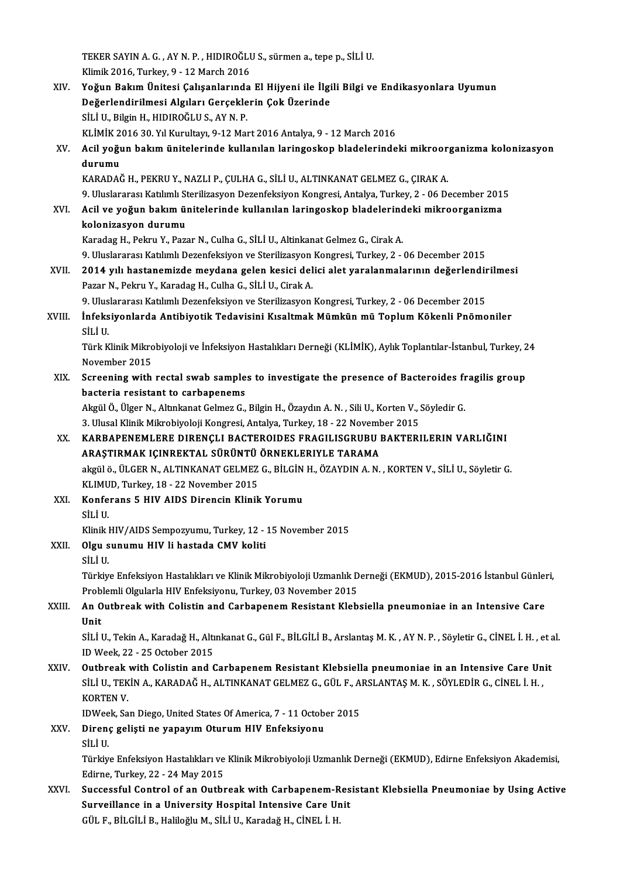TEKER SAYIN A. G. , AY N. P. , HIDIROĞLU S., sürmen a., tepe p., SİLİ U.<br>Klimik 2016. Turkay 0 , 12 Marek 2016 TEKER SAYIN A. G. , AY N. P. , HIDIROĞLI<br>Klimik 2016, Turkey, 9 - 12 March 2016<br>Yoğun Bakım Ünitesi Calısanlarında TEKER SAYIN A. G. , AY N. P. , HIDIROĞLU S., sürmen a., tepe p., SİLİ U.<br>Klimik 2016, Turkey, 9 - 12 March 2016<br>XIV. Yoğun Bakım Ünitesi Çalışanlarında El Hijyeni ile İlgili Bilgi ve Endikasyonlara Uyumun<br>Değenlendirilme Klimik 2016, Turkey, 9 - 12 March 2016<br>Yoğun Bakım Ünitesi Çalışanlarında El Hijyeni ile İlgi<br>Değerlendirilmesi Algıları Gerçeklerin Çok Üzerinde<br>Siti U. Bikin H. HIDIROĞLUS, AYN R Yoğun Bakım Ünitesi Çalışanlarında<br>Değerlendirilmesi Algıları Gerçekle<br>SİLİ U., Bilgin H., HIDIROĞLU S., AY N. P.<br>EL İMİZ 2016.20 Yıl Kurultarı 9.12 Mar Değerlendirilmesi Algıları Gerçeklerin Çok Üzerinde<br>SİLİ U., Bilgin H., HIDIROĞLU S., AY N. P.<br>KLİMİK 2016 30. Yıl Kurultayı, 9-12 Mart 2016 Antalya, 9 - 12 March 2016 SİLİ U., Bilgin H., HIDIROĞLU S., AY N. P.<br>KLİMİK 2016 30. Yıl Kurultayı, 9-12 Mart 2016 Antalya, 9 - 12 March 2016<br>XV. Acil yoğun bakım ünitelerinde kullanılan laringoskop bladelerindeki mikroorganizma kolonizasyon<br>du KLİMİK 2<br>Acil yoğu<br>durumu<br>KARADA<sup>)</sup> durumu<br>KARADAĞ H., PEKRU Y., NAZLI P., ÇULHA G., SİLİ U., ALTINKANAT GELMEZ G., ÇIRAK A. durumu<br>KARADAĞ H., PEKRU Y., NAZLI P., ÇULHA G., SİLİ U., ALTINKANAT GELMEZ G., ÇIRAK A.<br>9. Uluslararası Katılımlı Sterilizasyon Dezenfeksiyon Kongresi, Antalya, Turkey, 2 - 06 December 2015<br>Asil ve voğun bakım ünitelerind KARADAĞ H., PEKRU Y., NAZLI P., ÇULHA G., SİLİ U., ALTINKANAT GELMEZ G., ÇIRAK A.<br>9. Uluslararası Katılımlı Sterilizasyon Dezenfeksiyon Kongresi, Antalya, Turkey, 2 - 06 December 201.<br>XVI. Acil ve yoğun bakım üniteleri 9. Uluslararası Katılımlı St<br>Acil ve yoğun bakım ül<br>kolonizasyon durumu<br>Karadas H. Bakru V. Bax Acil ve yoğun bakım ünitelerinde kullanılan laringoskop bladelerindeki mikroorganizma<br>kolonizasyon durumu<br>Karadag H., Pekru Y., Pazar N., Culha G., SİLİ U., Altinkanat Gelmez G., Cirak A. kolonizasyon durumu<br>Karadag H., Pekru Y., Pazar N., Culha G., SİLİ U., Altinkanat Gelmez G., Cirak A.<br>9. Uluslararası Katılımlı Dezenfeksiyon ve Sterilizasyon Kongresi, Turkey, 2 - 06 December 2015<br>2014 yılı hastanamirde m Karadag H., Pekru Y., Pazar N., Culha G., SİLİ U., Altinkanat Gelmez G., Cirak A.<br>9. Uluslararası Katılımlı Dezenfeksiyon ve Sterilizasyon Kongresi, Turkey, 2 - 06 December 2015<br>XVII. 2014 yılı hastanemizde meydana gelen k 9. Uluslararası Katılımlı Dezenfeksiyon ve Sterilizasyon<br>2014 yılı hastanemizde meydana gelen kesici del<br>Pazar N., Pekru Y., Karadag H., Culha G., SİLİ U., Cirak A.<br>9. Uluslararası Katılımlı Dezenfeksiyon ve Sterilizasyon 2014 yılı hastanemizde meydana gelen kesici delici alet yaralanmalarının değerlendir<br>Pazar N., Pekru Y., Karadag H., Culha G., SİLİ U., Cirak A.<br>9. Uluslararası Katılımlı Dezenfeksiyon ve Sterilizasyon Kongresi, Turkey, 2 Pazar N., Pekru Y., Karadag H., Culha G., SİLİ U., Cirak A.<br>9. Uluslararası Katılımlı Dezenfeksiyon ve Sterilizasyon Kongresi, Turkey, 2 - 06 December 2015<br>XVIII. İnfeksiyonlarda Antibiyotik Tedavisini Kısaltmak Mümkün mü 9. Uluslararası Katılımlı Dezenfeksiyon ve Sterilizasyon Kongresi, Turkey, 2 - 06 December 2015 İnfeksiyonlarda Antibiyotik Tedavisini Kısaltmak Mümkün mü Toplum Kökenli Pnömoniler<br>SİLİ U.<br>Türk Klinik Mikrobiyoloji ve İnfeksiyon Hastalıkları Derneği (KLİMİK), Aylık Toplantılar-İstanbul, Turkey, 24<br>Navambar 2015 SİLİ U.<br>Türk Klinik Mikro<br>November 2015<br>Sereening with Türk Klinik Mikrobiyoloji ve İnfeksiyon Hastalıkları Derneği (KLİMİK), Aylık Toplantılar-İstanbul, Turkey, 2<br>November 2015<br>XIX. Screening with rectal swab samples to investigate the presence of Bacteroides fragilis group<br>b November 2015<br>Screening with rectal swab samples to investigate the presence of Bacteroides fragilis group<br>bacteria resistant to carbapenems Screening with rectal swab samples to investigate the presence of Bacteroides fr<br>bacteria resistant to carbapenems<br>Akgül Ö., Ülger N., Altınkanat Gelmez G., Bilgin H., Özaydın A. N. , Sili U., Korten V., Söyledir G.<br>2. Ulu bacteria resistant to carbapenems<br>Akgül Ö., Ülger N., Altınkanat Gelmez G., Bilgin H., Özaydın A. N. , Sili U., Korten V., !<br>3. Ulusal Klinik Mikrobiyoloji Kongresi, Antalya, Turkey, 18 - 22 November 2015<br>KARRAREMLERE DIRE XX. KARBAPENEMLERE DIRENÇLI BACTEROIDES FRAGILISGRUBU BAKTERILERIN VARLIĞINI 3. Ulusal Klinik Mikrobiyoloji Kongresi, Antalya, Turkey, 18 - 22 Novem<br>KARBAPENEMLERE DIRENÇLI BACTEROIDES FRAGILISGRUBU |<br>ARAŞTIRMAK IÇINREKTAL SÜRÜNTÜ ÖRNEKLERIYLE TARAMA<br>Akril 8. ÜLCEP N. ALTNKANAT CELMEZ C. PİLCİN H. KARBAPENEMLERE DIRENÇLI BACTEROIDES FRAGILISGRUBU BAKTERILERIN VARLIĞINI<br>ARAŞTIRMAK IÇINREKTAL SÜRÜNTÜ ÖRNEKLERIYLE TARAMA<br>akgülö., ÜLGER N., ALTINKANAT GELMEZ G., BİLGİN H., ÖZAYDIN A. N. , KORTEN V., SİLİ U., Söyletir G. ARAŞTIRMAK IÇINREKTAL SÜRÜNTÜ<br>akgül ö., ÜLGER N., ALTINKANAT GELMEZ<br>KLIMUD, Turkey, 18 - 22 November 2015<br>Konfereng 5 HIV AIDS Direngin Klinik XXI. Konferans 5 HIV AIDS Direncin Klinik Yorumu KLIMUD, Turkey, 18 - 22 November 2015 Konferans 5 HIV AIDS Direncin Klinik Yorumu<br>SİLİ U.<br>Klinik HIV/AIDS Sempozyumu, Turkey, 12 - 15 November 2015<br>Olan sunumu HIV li bəstədə CMV kəliti XXII. Olgu sunumu HIV li hastada CMV koliti SİLİ U. Klinik l<br>Olgu s<br>SİLİ U. Olgu sunumu HIV li hastada CMV koliti<br>SİLİ U.<br>Türkiye Enfeksiyon Hastalıkları ve Klinik Mikrobiyoloji Uzmanlık Derneği (EKMUD), 2015-2016 İstanbul Günleri, SİLİ U.<br>Türkiye Enfeksiyon Hastalıkları ve Klinik Mikrobiyoloji Uzmanlık D<br>Problemli Olgularla HIV Enfeksiyonu, Turkey, 03 November 2015<br>An Quthnook with Colistin and Carbanonom Bosistant Klab XXIII. An Outbreak with Colistin and Carbapenem Resistant Klebsiella pneumoniae in an Intensive Care<br>Unit Problemli Olgularla HIV Enfeksiyonu, Turkey, 03 November 2015 An Outbreak with Colistin and Carbapenem Resistant Klebsiella pneumoniae in an Intensive Care<br>Unit<br>SİLİ U., Tekin A., Karadağ H., Altınkanat G., Gül F., BİLGİLİ B., Arslantaş M. K. , AY N. P. , Söyletir G., CİNEL İ. H. , e Unit<br>SİLİ U., Tekin A., Karadağ H., Altı<br>ID Week, 22 - 25 October 2015<br>Outbreek with Celistin and G SILI U., Tekin A., Karadağ H., Altınkanat G., Gül F., BİLGİLİ B., Arslantaş M. K., AY N. P., Söyletir G., CİNEL İ. H., et a<br>ID Week, 22 - 25 October 2015<br>XXIV. Qutbreak with Colistin and Carbapenem Resistant Klebsiella pne ID Week, 22 - 25 October 2015<br>Outbreak with Colistin and Carbapenem Resistant Klebsiella pneumoniae in an Intensive Care Un<br>SİLİ U., TEKİN A., KARADAĞ H., ALTINKANAT GELMEZ G., GÜL F., ARSLANTAŞ M. K. , SÖYLEDİR G., CİNEL Outbreak<br>SİLİ U., TEK<br>KORTEN V.<br>IDWeek Se SİLİ U., TEKİN A., KARADAĞ H., ALTINKANAT GELMEZ G., GÜL F., ARSLANTAŞ M. K. , SÖYLEDİR G., CİNEL İ. H. , KORTEN V.<br>KORTEN V.<br>IDWeek, San Diego, United States Of America, 7 - 11 October 2015<br>Direnç gelişti ne yapayım Oturu KORTEN V.<br>IDWeek, San Diego, United States Of America, 7 - 11 Octob<br>XXV. Direnç gelişti ne yapayım Oturum HIV Enfeksiyonu<br>Siti U IDWee<br><mark>Diren</mark><br>SİLİ U.<br>Türkü Direnç gelişti ne yapayım Oturum HIV Enfeksiyonu<br>SİLİ U.<br>Türkiye Enfeksiyon Hastalıkları ve Klinik Mikrobiyoloji Uzmanlık Derneği (EKMUD), Edirne Enfeksiyon Akademisi, SİLİ U.<br>Türkiye Enfeksiyon Hastalıkları ve<br>Edirne, Turkey, 22 - 24 May 2015<br>Sussessful Control of an Quthr Türkiye Enfeksiyon Hastalıkları ve Klinik Mikrobiyoloji Uzmanlık Derneği (EKMUD), Edirne Enfeksiyon Akademisi,<br>Edirne, Turkey, 22 - 24 May 2015<br>XXVI. Successful Control of an Outbreak with Carbapenem-Resistant Klebsiella P Edirne, Turkey, 22 - 24 May 2015<br>Successful Control of an Outbreak with Carbapenem-Resistant Klebsiella Pneumoniae by Using Active<br>Surveillance in a University Hospital Intensive Care Unit GÜL F.,BİLGİLİB.,HaliloğluM.,SİLİU.,KaradağH.,CİNEL İ.H.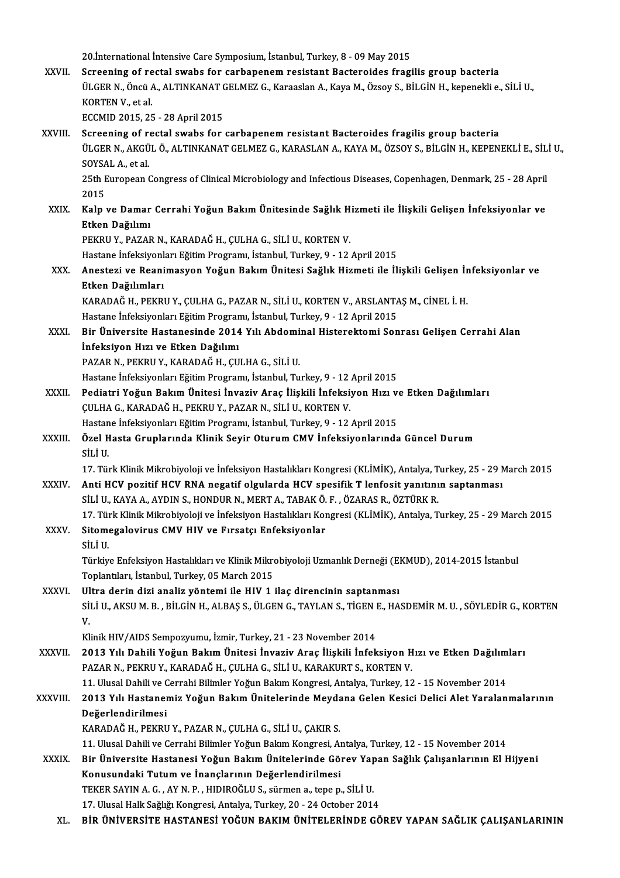20.İnternational İntensive Care Symposium, İstanbul, Turkey, 8 - 09 May 2015<br>Seneening of nastal surebe for sarbananam nasistant Pesteneides frasi

|               | 20. International Intensive Care Symposium, Istanbul, Turkey, 8 - 09 May 2015                                                                           |
|---------------|---------------------------------------------------------------------------------------------------------------------------------------------------------|
| XXVII.        | Screening of rectal swabs for carbapenem resistant Bacteroides fragilis group bacteria                                                                  |
|               | ÜLGER N., Öncü A., ALTINKANAT GELMEZ G., Karaaslan A., Kaya M., Özsoy S., BİLGİN H., kepenekli e., SİLİ U.,<br>KORTEN V, et al.                         |
|               | ECCMID 2015, 25 - 28 April 2015                                                                                                                         |
| XXVIII.       | Screening of rectal swabs for carbapenem resistant Bacteroides fragilis group bacteria                                                                  |
|               | ÜLGER N., AKGÜL Ö., ALTINKANAT GELMEZ G., KARASLAN A., KAYA M., ÖZSOY S., BİLGİN H., KEPENEKLİ E., SİLİ U.,                                             |
|               | SOYSAL A, et al.                                                                                                                                        |
|               | 25th European Congress of Clinical Microbiology and Infectious Diseases, Copenhagen, Denmark, 25 - 28 April                                             |
|               | 2015                                                                                                                                                    |
| XXIX.         | Kalp ve Damar Cerrahi Yoğun Bakım Ünitesinde Sağlık Hizmeti ile İlişkili Gelişen İnfeksiyonlar ve                                                       |
|               | Etken Dağılımı                                                                                                                                          |
|               | PEKRU Y., PAZAR N., KARADAĞ H., ÇULHA G., SİLİ U., KORTEN V.                                                                                            |
|               | Hastane İnfeksiyonları Eğitim Programı, İstanbul, Turkey, 9 - 12 April 2015                                                                             |
| XXX.          | Anestezi ve Reanimasyon Yoğun Bakım Ünitesi Sağlık Hizmeti ile İlişkili Gelişen İnfeksiyonlar ve                                                        |
|               | Etken Dağılımları                                                                                                                                       |
|               | KARADAĞ H., PEKRU Y., ÇULHA G., PAZAR N., SİLİ U., KORTEN V., ARSLANTAŞ M., CİNEL İ. H.                                                                 |
|               | Hastane İnfeksiyonları Eğitim Programı, İstanbul, Turkey, 9 - 12 April 2015                                                                             |
| XXXI.         | Bir Üniversite Hastanesinde 2014 Yılı Abdominal Histerektomi Sonrası Gelişen Cerrahi Alan                                                               |
|               | İnfeksiyon Hızı ve Etken Dağılımı                                                                                                                       |
|               | PAZAR N., PEKRU Y., KARADAĞ H., ÇULHA G., SİLİ U.                                                                                                       |
|               | Hastane İnfeksiyonları Eğitim Programı, İstanbul, Turkey, 9 - 12 April 2015                                                                             |
| XXXII.        | Pediatri Yoğun Bakım Ünitesi İnvaziv Araç İlişkili İnfeksiyon Hızı ve Etken Dağılımları<br>ÇULHA G., KARADAĞ H., PEKRU Y., PAZAR N., SİLİ U., KORTEN V. |
|               | Hastane İnfeksiyonları Eğitim Programı, İstanbul, Turkey, 9 - 12 April 2015                                                                             |
| XXXIII.       | Özel Hasta Gruplarında Klinik Seyir Oturum CMV İnfeksiyonlarında Güncel Durum                                                                           |
|               | SİLİ U.                                                                                                                                                 |
|               | 17. Türk Klinik Mikrobiyoloji ve İnfeksiyon Hastalıkları Kongresi (KLİMİK), Antalya, Turkey, 25 - 29 March 2015                                         |
| <b>XXXIV</b>  | Anti HCV pozitif HCV RNA negatif olgularda HCV spesifik T lenfosit yanıtının saptanması                                                                 |
|               | SİLİ U., KAYA A., AYDIN S., HONDUR N., MERT A., TABAK Ö. F., ÖZARAS R., ÖZTÜRK R.                                                                       |
|               | 17. Türk Klinik Mikrobiyoloji ve İnfeksiyon Hastalıkları Kongresi (KLİMİK), Antalya, Turkey, 25 - 29 March 2015                                         |
| XXXV.         | Sitomegalovirus CMV HIV ve Fırsatçı Enfeksiyonlar                                                                                                       |
|               | SİLİ U.                                                                                                                                                 |
|               | Türkiye Enfeksiyon Hastalıkları ve Klinik Mikrobiyoloji Uzmanlık Derneği (EKMUD), 2014-2015 İstanbul                                                    |
|               | Toplantıları, İstanbul, Turkey, 05 March 2015                                                                                                           |
| XXXVI.        | Ultra derin dizi analiz yöntemi ile HIV 1 ilaç direncinin saptanması                                                                                    |
|               | SİLİ U., AKSU M. B. , BİLGİN H., ALBAŞ S., ÜLGEN G., TAYLAN S., TİGEN E., HASDEMİR M. U. , SÖYLEDİR G., KORTEN                                          |
|               | V.                                                                                                                                                      |
|               | Klinik HIV/AIDS Sempozyumu, İzmir, Turkey, 21 - 23 November 2014                                                                                        |
| <b>XXXVII</b> | 2013 Yılı Dahili Yoğun Bakım Ünitesi İnvaziv Araç İlişkili İnfeksiyon Hızı ve Etken Dağılımları                                                         |
|               | PAZAR N., PEKRU Y., KARADAĞ H., ÇULHA G., SİLİ U., KARAKURT S., KORTEN V.                                                                               |
|               | 11. Ulusal Dahili ve Cerrahi Bilimler Yoğun Bakım Kongresi, Antalya, Turkey, 12 - 15 November 2014                                                      |
| XXXVIII.      | 2013 Yılı Hastanemiz Yoğun Bakım Ünitelerinde Meydana Gelen Kesici Delici Alet Yaralanmalarının                                                         |
|               | Değerlendirilmesi<br>KARADAĞ H., PEKRU Y., PAZAR N., ÇULHA G., SİLİ U., ÇAKIR S.                                                                        |
|               | 11. Ulusal Dahili ve Cerrahi Bilimler Yoğun Bakım Kongresi, Antalya, Turkey, 12 - 15 November 2014                                                      |
| XXXIX.        | Bir Üniversite Hastanesi Yoğun Bakım Ünitelerinde Görev Yapan Sağlık Çalışanlarının El Hijyeni                                                          |
|               | Konusundaki Tutum ve İnançlarının Değerlendirilmesi                                                                                                     |
|               | TEKER SAYIN A. G., AY N. P., HIDIROĞLU S., sürmen a., tepe p., SİLİ U.                                                                                  |
|               | 17. Ulusal Halk Sağlığı Kongresi, Antalya, Turkey, 20 - 24 October 2014                                                                                 |
| XL.           | BİR ÜNİVERSİTE HASTANESI YOĞUN BAKIM ÜNİTELERİNDE GÖREV YAPAN SAĞLIK ÇALIŞANLARININ                                                                     |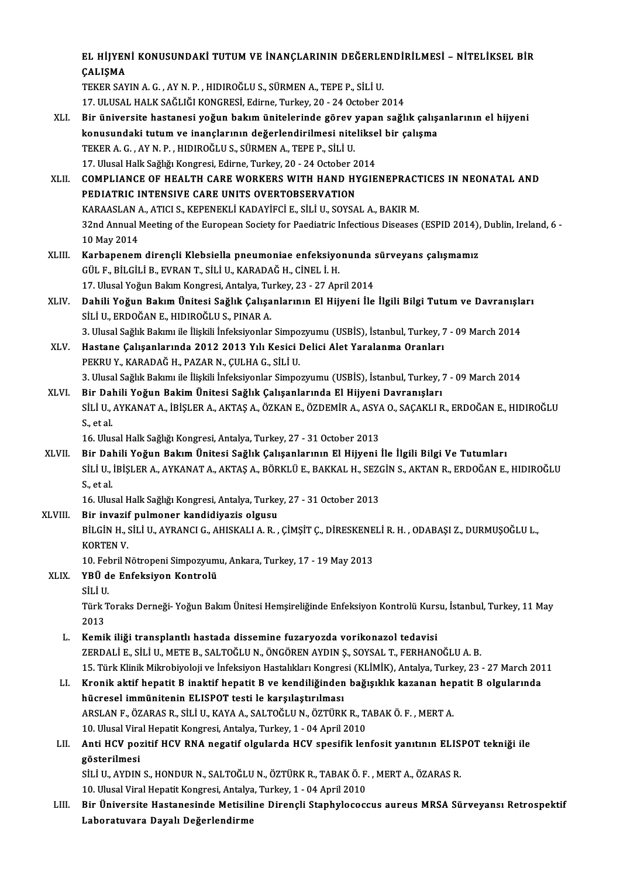|         | EL HIJYENI KONUSUNDAKI TUTUM VE İNANÇLARININ DEĞERLENDİRİLMESİ - NİTELİKSEL BİR                                   |
|---------|-------------------------------------------------------------------------------------------------------------------|
|         | ÇALIŞMA                                                                                                           |
|         | TEKER SAYIN A. G., AY N. P., HIDIROĞLU S., SÜRMEN A., TEPE P., SİLİ U.                                            |
|         | 17. ULUSAL HALK SAĞLIĞI KONGRESİ, Edirne, Turkey, 20 - 24 October 2014                                            |
| XLI.    | Bir üniversite hastanesi yoğun bakım ünitelerinde görev yapan sağlık çalışanlarının el hijyeni                    |
|         | konusundaki tutum ve inançlarının değerlendirilmesi niteliksel bir çalışma                                        |
|         | TEKER A. G., AY N. P., HIDIROĞLU S., SÜRMEN A., TEPE P., SİLİ U.                                                  |
|         | 17. Ulusal Halk Sağlığı Kongresi, Edirne, Turkey, 20 - 24 October 2014                                            |
| XLII.   | COMPLIANCE OF HEALTH CARE WORKERS WITH HAND HYGIENEPRACTICES IN NEONATAL AND                                      |
|         | PEDIATRIC INTENSIVE CARE UNITS OVERTOBSERVATION                                                                   |
|         | KARAASLAN A., ATICI S., KEPENEKLI KADAYIFCI E., SILI U., SOYSAL A., BAKIR M.                                      |
|         | 32nd Annual Meeting of the European Society for Paediatric Infectious Diseases (ESPID 2014), Dublin, Ireland, 6 - |
|         | 10 May 2014                                                                                                       |
| XLIII.  | Karbapenem dirençli Klebsiella pneumoniae enfeksiyonunda sürveyans çalışmamız                                     |
|         | GÜL F., BİLGİLİ B., EVRAN T., SİLİ U., KARADAĞ H., CİNEL İ. H.                                                    |
|         | 17. Ulusal Yoğun Bakım Kongresi, Antalya, Turkey, 23 - 27 April 2014                                              |
| XLIV.   | Dahili Yoğun Bakım Ünitesi Sağlık Çalışanlarının El Hijyeni İle İlgili Bilgi Tutum ve Davranışları                |
|         | SİLİ U., ERDOĞAN E., HIDIROĞLU S., PINAR A.                                                                       |
|         | 3. Ulusal Sağlık Bakımı ile İlişkili İnfeksiyonlar Simpozyumu (USBİS), İstanbul, Turkey, 7 - 09 March 2014        |
| XLV.    | Hastane Çalışanlarında 2012 2013 Yılı Kesici Delici Alet Yaralanma Oranları                                       |
|         | PEKRU Y., KARADAĞ H., PAZAR N., ÇULHA G., SİLİ U.                                                                 |
|         | 3. Ulusal Sağlık Bakımı ile İlişkili İnfeksiyonlar Simpozyumu (USBİS), İstanbul, Turkey, 7 - 09 March 2014        |
| XLVI.   | Bir Dahili Yoğun Bakim Ünitesi Sağlık Çalışanlarında El Hijyeni Davranışları                                      |
|         | SİLİ U., AYKANAT A., İBİŞLER A., AKTAŞ A., ÖZKAN E., ÖZDEMİR A., ASYA O., SAÇAKLI R., ERDOĞAN E., HIDIROĞLU       |
|         | S, et al.                                                                                                         |
|         | 16. Ulusal Halk Sağlığı Kongresi, Antalya, Turkey, 27 - 31 October 2013                                           |
| XLVII.  | Bir Dahili Yoğun Bakım Ünitesi Sağlık Çalışanlarının El Hijyeni İle İlgili Bilgi Ve Tutumları                     |
|         | SİLİ U., İBİŞLER A., AYKANAT A., AKTAŞ A., BÖRKLÜ E., BAKKAL H., SEZGİN S., AKTAN R., ERDOĞAN E., HIDIROĞLU       |
|         | $S1$ et al.                                                                                                       |
|         | 16. Ulusal Halk Sağlığı Kongresi, Antalya, Turkey, 27 - 31 October 2013                                           |
| XLVIII. | Bir invazif pulmoner kandidiyazis olgusu                                                                          |
|         | BİLGİN H., SİLİ U., AYRANCI G., AHISKALI A. R. , ÇİMŞİT Ç., DİRESKENELİ R. H. , ODABAŞI Z., DURMUŞOĞLU L.,        |
|         | <b>KORTEN V</b>                                                                                                   |
|         | 10. Febril Nötropeni Simpozyumu, Ankara, Turkey, 17 - 19 May 2013                                                 |
| XLIX.   | YBÜ de Enfeksiyon Kontrolü                                                                                        |
|         | SİLİ U.                                                                                                           |
|         | Türk Toraks Derneği- Yoğun Bakım Ünitesi Hemşireliğinde Enfeksiyon Kontrolü Kursu, İstanbul, Turkey, 11 May       |
|         | 2013                                                                                                              |
| L.      | Kemik iliği transplantlı hastada dissemine fuzaryozda vorikonazol tedavisi                                        |
|         | ZERDALİ E., SİLİ U., METE B., SALTOĞLU N., ÖNGÖREN AYDIN Ş., SOYSAL T., FERHANOĞLU A. B.                          |
|         | 15. Türk Klinik Mikrobiyoloji ve İnfeksiyon Hastalıkları Kongresi (KLİMİK), Antalya, Turkey, 23 - 27 March 2011   |
| LI.     | Kronik aktif hepatit B inaktif hepatit B ve kendiliğinden bağışıklık kazanan hepatit B olgularında                |
|         | hücresel immünitenin ELISPOT testi le karşılaştırılması                                                           |
|         | ARSLAN F., ÖZARAS R., SİLİ U., KAYA A., SALTOĞLU N., ÖZTÜRK R., TABAK Ö. F., MERT A.                              |
|         | 10. Ulusal Viral Hepatit Kongresi, Antalya, Turkey, 1 - 04 April 2010                                             |
| LII.    | Anti HCV pozitif HCV RNA negatif olgularda HCV spesifik lenfosit yanıtının ELISPOT tekniği ile                    |
|         | gösterilmesi                                                                                                      |
|         | SİLİ U., AYDIN S., HONDUR N., SALTOĞLU N., ÖZTÜRK R., TABAK Ö. F., MERT A., ÖZARAS R.                             |
|         | 10. Ulusal Viral Hepatit Kongresi, Antalya, Turkey, 1 - 04 April 2010                                             |
| LIII.   | Bir Üniversite Hastanesinde Metisiline Dirençli Staphylococcus aureus MRSA Sürveyansı Retrospektif                |
|         | Laboratuvara Dayalı Değerlendirme                                                                                 |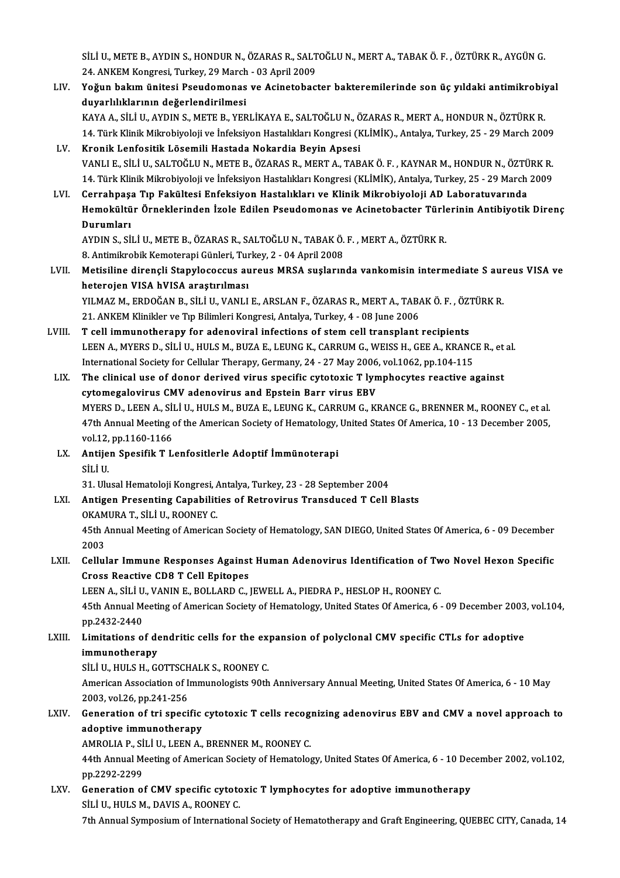SİLİ U., METE B., AYDIN S., HONDUR N., ÖZARAS R., SALTOĞLU N., MERT A., TABAK Ö. F. , ÖZTÜRK R., AYGÜN G.<br>24. ANKEM Kongresi, Turkey, 29 Marsh., 93 Anril 2009. SİLİ U., METE B., AYDIN S., HONDUR N., ÖZARAS R., SALT<br>24. ANKEM Kongresi, Turkey, 29 March - 03 April 2009<br>Yoğun bakım ünitesi Besudemanas ve Asinatabası SİLİ U., METE B., AYDIN S., HONDUR N., ÖZARAS R., SALTOĞLU N., MERT A., TABAK Ö. F. , ÖZTÜRK R., AYGÜN G.<br>24. ANKEM Kongresi, Turkey, 29 March - 03 April 2009<br>LIV. Yoğun bakım ünitesi Pseudomonas ve Acinetobacter bakte

- 24. ANKEM Kongresi, Turkey, 29 March<br>Yoğun bakım ünitesi Pseudomonas<br>duyarlılıklarının değerlendirilmesi<br>KAVA A. SİLİJI AYDINS, METER VER Yoğun bakım ünitesi Pseudomonas ve Acinetobacter bakteremilerinde son üç yıldaki antimikrobiy<br>duyarlılıklarının değerlendirilmesi<br>KAYA A., SİLİ U., AYDIN S., METE B., YERLİKAYA E., SALTOĞLU N., ÖZARAS R., MERT A., HONDUR N duyarlılıklarının değerlendirilmesi<br>KAYA A., SİLİ U., AYDIN S., METE B., YERLİKAYA E., SALTOĞLU N., ÖZARAS R., MERT A., HONDUR N., ÖZTÜRK R.<br>14. Türk Klinik Mikrobiyoloji ve İnfeksiyon Hastalıkları Kongresi (KLİMİK)., Anta 14. Türk Klinik Mikrobiyoloji ve İnfeksiyon Hastalıkları Kongresi (KLİMİK), Antalya, Turkey, 25 - 29 March 2009
- LV. Kronik Lenfositik Lösemili Hastada Nokardia Beyin Apsesi Kronik Lenfositik Lösemili Hastada Nokardia Beyin Apsesi<br>VANLI E., SİLİ U., SALTOĞLU N., METE B., ÖZARAS R., MERT A., TABAK Ö. F. , KAYNAR M., HONDUR N., ÖZTÜRK R.<br>14. Türk Klinik Mikrobiyoloji ve İnfeksiyon Hastalıkları K VANLI E., SİLİ U., SALTOĞLU N., METE B., ÖZARAS R., MERT A., TABAK Ö. F. , KAYNAR M., HONDUR N., ÖZTÜ<br>14. Türk Klinik Mikrobiyoloji ve İnfeksiyon Hastalıkları Kongresi (KLİMİK), Antalya, Turkey, 25 - 29 March<br>1. LVI. C
- 14. Türk Klinik Mikrobiyoloji ve İnfeksiyon Hastalıkları Kongresi (KLİMİK), Antalya, Turkey, 25 29 March 2009<br>Cerrahpaşa Tıp Fakültesi Enfeksiyon Hastalıkları ve Klinik Mikrobiyoloji AD Laboratuvarında<br>Hemokültür Örnekle Cerrahpaş<mark>:</mark><br>Hemokültü<br>Durumları<br>AVDIN S. Sİ Hemokültür Örneklerinden İzole Edilen Pseudomonas ve Acinetobacter Türle<br>Durumları<br>AYDIN S., SİLİ U., METE B., ÖZARAS R., SALTOĞLU N., TABAK Ö. F. , MERT A., ÖZTÜRK R.<br>8. Antimilyeblik Kometereni Günleri Turkey 2., 94 Anri

<mark>Durumları</mark><br>AYDIN S., SİLİ U., METE B., ÖZARAS R., SALTOĞLU N., TABAK Ö.<br>8. Antimikrobik Kemoterapi Günleri, Turkey, 2 - 04 April 2008<br>Metisiline direngli Stanylesessus aureus MBSA susların

AYDIN S., SİLİ U., METE B., ÖZARAS R., SALTOĞLU N., TABAK Ö. F. , MERT A., ÖZTÜRK R.<br>8. Antimikrobik Kemoterapi Günleri, Turkey, 2 - 04 April 2008<br>LVII. Metisiline dirençli Stapylococcus aureus MRSA suşlarında vankomisin i 8. Antimikrobik Kemoterapi Günleri, Tur<br>Metisiline dirençli Stapylococcus au<br>heterojen VISA hVISA araştırılması<br>VII MAZ M. ERDOČAN B. SİLİ IL VANLI Metisiline dirençli Stapylococcus aureus MRSA suşlarında vankomisin intermediate S aur<br>heterojen VISA hVISA araştırılması<br>YILMAZ M., ERDOĞAN B., SİLİ U., VANLI E., ARSLAN F., ÖZARAS R., MERT A., TABAK Ö. F. , ÖZTÜRK R.<br>21. heterojen VISA hVISA araştırılması<br>21.ANAZ M., ERDOĞAN B., SİLİ U., VANLI E., ARSLAN F., ÖZARAS R., MERT A., TABAK Ö. F. , ÖZTÜRK R.<br>21. ANKEM Klinikler ve Tıp Bilimleri Kongresi, Antalya, Turkey, 4 - 08 June 2006

- LVIII. T cell immunotherapy for adenoviral infections of stem cell transplant recipients 21. ANKEM Klinikler ve Tıp Bilimleri Kongresi, Antalya, Turkey, 4 - 08 June 2006<br>T cell immunotherapy for adenoviral infections of stem cell transplant recipients<br>LEEN A., MYERS D., SİLİ U., HULS M., BUZA E., LEUNG K., CAR T cell immunotherapy for adenoviral infections of stem cell transplant recipients<br>LEEN A., MYERS D., SİLİ U., HULS M., BUZA E., LEUNG K., CARRUM G., WEISS H., GEE A., KRANC<br>International Society for Cellular Therapy, Germa LEEN A., MYERS D., SİLİ U., HULS M., BUZA E., LEUNG K., CARRUM G., WEISS H., GEE A., KRANCE R., et<br>International Society for Cellular Therapy, Germany, 24 - 27 May 2006, vol.1062, pp.104-115<br>LIX. The clinical use of donor
- International Society for Cellular Therapy, Germany, 24 27 May 2006, vol.1062, pp.104-115<br>The clinical use of donor derived virus specific cytotoxic T lymphocytes reactive against<br>cytomegalovirus CMV adenovirus and Epste The clinical use of donor derived virus specific cytotoxic T lymphocytes reactive against<br>cytomegalovirus CMV adenovirus and Epstein Barr virus EBV<br>MYERS D., LEEN A., SİLİ U., HULS M., BUZA E., LEUNG K., CARRUM G., KRANCE cytomegalovirus CMV adenovirus and Epstein Barr virus EBV<br>MYERS D., LEEN A., SİLİ U., HULS M., BUZA E., LEUNG K., CARRUM G., KRANCE G., BRENNER M., ROONEY C., et al.<br>47th Annual Meeting of the American Society of Hematolog MYERS D., LEEN A., SI<br>47th Annual Meeting<br>vol.12, pp.1160-1166<br>Antijon Sposifik T. I 47th Annual Meeting of the American Society of Hematology, United States Of America, 10 - 13 December 2005,<br>vol.12, pp.1160-1166<br>LX. Antijen Spesifik T Lenfositlerle Adoptif İmmünoterapi<br>SİLİ U. vol.12, pp.1160-1166
- Antijen Spesifik T Lenfositlerle Adoptif İmmünoterapi<br>SİLİ U.<br>31. Ulusal Hematoloji Kongresi, Antalya, Turkey, 23 28 September 2004<br>Antigen Presenting Canabilities of Petrevinus Transdused T Cell I

LXI. Antigen Presenting Capabilities of Retrovirus Transduced T Cell Blasts<br>OKAMURA T., SILI U., ROONEY C. 31. Ulusal Hematoloji Kongresi, *k*<br>Antigen Presenting Capabilit<br>OKAMURA T., SİLİ U., ROONEY C.<br>4Eth Annual Mesting of America Antigen Presenting Capabilities of Retrovirus Transduced T Cell Blasts<br>OKAMURA T., SİLİ U., ROONEY C.<br>45th Annual Meeting of American Society of Hematology, SAN DIEGO, United States Of America, 6 - 09 December<br>2002 0KAM<br>45th /<br>2003<br>Cellul

## 45th Annual Meeting of American Society of Hematology, SAN DIEGO, United States Of America, 6 - 09 December<br>2003<br>LXII. Cellular Immune Responses Against Human Adenovirus Identification of Two Novel Hexon Specific<br>Cross Bea 2003<br>Cellular Immune Responses Against Human Adenovirus Identification of Tw<br>Cross Reactive CD8 T Cell Epitopes<br>LEEN A., SİLİ U., VANIN E., BOLLARD C., JEWELL A., PIEDRA P., HESLOP H., ROONEY C. LXII. Cellular Immune Responses Against Human Adenovirus Identification of Two Novel Hexon Specific

Cross Reactive CD8 T Cell Epitopes<br>LEEN A., SİLİ U., VANIN E., BOLLARD C., JEWELL A., PIEDRA P., HESLOP H., ROONEY C.<br>45th Annual Meeting of American Society of Hematology, United States Of America, 6 - 09 December 2003, v pp.2432-2440 45th Annual Meeting of American Society of Hematology, United States Of America, 6 - 09 December 2003<br>pp.2432-2440<br>LXIII. Limitations of dendritic cells for the expansion of polyclonal CMV specific CTLs for adoptive<br>immuno

## Limitations of dendritic cells for the expansion of polyclonal CMV specific CTLs for adoptive immunotherapy Limitations of dendritic cells for the eximmunotherapy<br>SİLİ U., HULS H., GOTTSCHALK S., ROONEY C.<br>American Accociation of Immunologists 90th

immunotherapy<br>SİLİ U., HULS H., GOTTSCHALK S., ROONEY C.<br>American Association of Immunologists 90th Anniversary Annual Meeting, United States Of America, 6 - 10 May<br>2003. vel 36 pp 341,356 SILI U., HULS H., GOTTSCH<br>American Association of I<br>2003, vol.26, pp.241-256 American Association of Immunologists 90th Anniversary Annual Meeting, United States Of America, 6 - 10 May<br>2003, vol.26, pp.241-256<br>LXIV. Generation of tri specific cytotoxic T cells recognizing adenovirus EBV and CMV a n

## 2003, vol.26, pp.241-256<br>Generation of tri specific cytotoxic T cells recognizing adenovirus EBV and CMV a novel approach to<br>adoptive immunotherapy Generation of tri specific cytotoxic T cells recognation<br>adoptive immunotherapy<br>AMROLIA P., SİLİ U., LEEN A., BRENNER M., ROONEY C.<br>44th Annual Meeting of American Society of Hemeteles

44th Annual Meeting of American Society of Hematology, United States Of America, 6 - 10 December 2002, vol.102, pp.2292-2299 AMROLIA P., Sİ<br>44th Annual M<br>pp.2292-2299<br>Conenstion e 44th Annual Meeting of American Society of Hematology, United States Of America, 6 - 10 Dec<br>pp.2292-2299<br>LXV. Generation of CMV specific cytotoxic T lymphocytes for adoptive immunotherapy<br>stuture M. DAVIS A. POONEY C

pp.2292-2299<br>Generation of CMV specific cytote<br>SİLİ U., HULS M., DAVIS A., ROONEY C.<br>7th Annual Suppesium of Internation 5 SILI U., HULS M., DAVIS A., ROONEY C.<br>7th Annual Symposium of International Society of Hematotherapy and Graft Engineering, QUEBEC CITY, Canada, 14